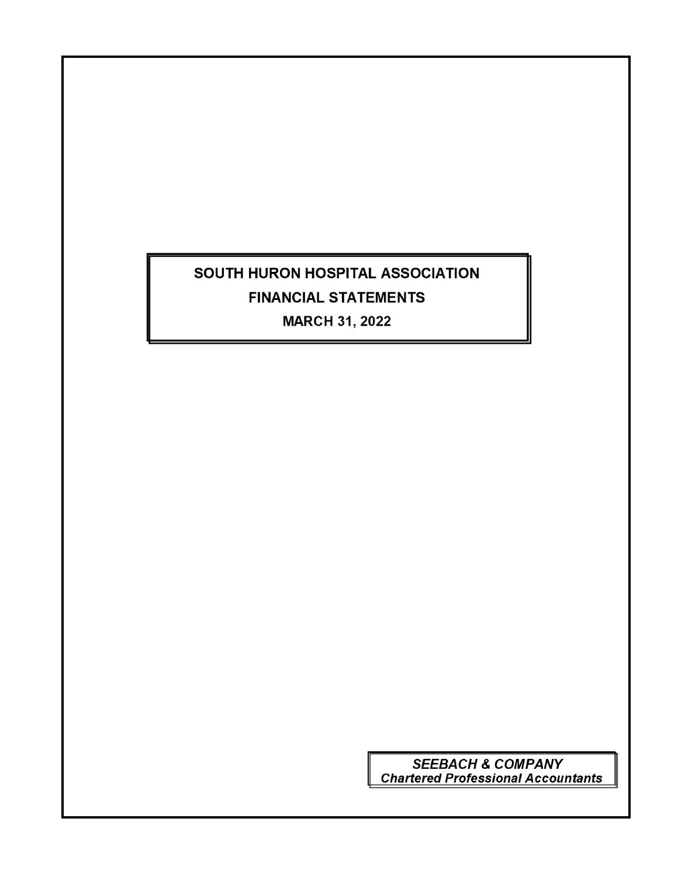# **SOUTH HURON HOSPITAL ASSOCIATION FINANCIAL STATEMENTS**

**MARCH 31, 2022**

 *SEEBACH & COMPANY Chartered Professional Accountants*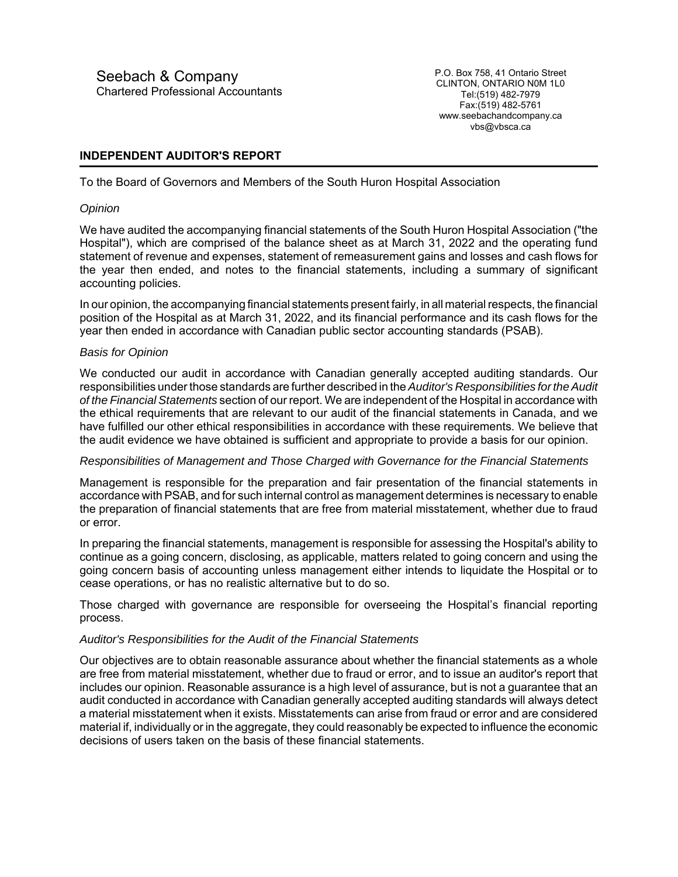Seebach & Company Chartered Professional Accountants P.O. Box 758, 41 Ontario Street CLINTON, ONTARIO N0M 1L0 Tel:(519) 482-7979 Fax:(519) 482-5761 www.seebachandcompany.ca vbs@vbsca.ca

#### **INDEPENDENT AUDITOR'S REPORT**

To the Board of Governors and Members of the South Huron Hospital Association

#### *Opinion*

We have audited the accompanying financial statements of the South Huron Hospital Association ("the Hospital"), which are comprised of the balance sheet as at March 31, 2022 and the operating fund statement of revenue and expenses, statement of remeasurement gains and losses and cash flows for the year then ended, and notes to the financial statements, including a summary of significant accounting policies.

In our opinion, the accompanying financial statements present fairly, in all material respects, the financial position of the Hospital as at March 31, 2022, and its financial performance and its cash flows for the year then ended in accordance with Canadian public sector accounting standards (PSAB).

#### *Basis for Opinion*

We conducted our audit in accordance with Canadian generally accepted auditing standards. Our responsibilities under those standards are further described in the *Auditor's Responsibilities for the Audit of the Financial Statements* section of our report. We are independent of the Hospital in accordance with the ethical requirements that are relevant to our audit of the financial statements in Canada, and we have fulfilled our other ethical responsibilities in accordance with these requirements. We believe that the audit evidence we have obtained is sufficient and appropriate to provide a basis for our opinion.

#### *Responsibilities of Management and Those Charged with Governance for the Financial Statements*

Management is responsible for the preparation and fair presentation of the financial statements in accordance with PSAB, and for such internal control as management determines is necessary to enable the preparation of financial statements that are free from material misstatement, whether due to fraud or error.

In preparing the financial statements, management is responsible for assessing the Hospital's ability to continue as a going concern, disclosing, as applicable, matters related to going concern and using the going concern basis of accounting unless management either intends to liquidate the Hospital or to cease operations, or has no realistic alternative but to do so.

Those charged with governance are responsible for overseeing the Hospital's financial reporting process.

#### *Auditor's Responsibilities for the Audit of the Financial Statements*

Our objectives are to obtain reasonable assurance about whether the financial statements as a whole are free from material misstatement, whether due to fraud or error, and to issue an auditor's report that includes our opinion. Reasonable assurance is a high level of assurance, but is not a guarantee that an audit conducted in accordance with Canadian generally accepted auditing standards will always detect a material misstatement when it exists. Misstatements can arise from fraud or error and are considered material if, individually or in the aggregate, they could reasonably be expected to influence the economic decisions of users taken on the basis of these financial statements.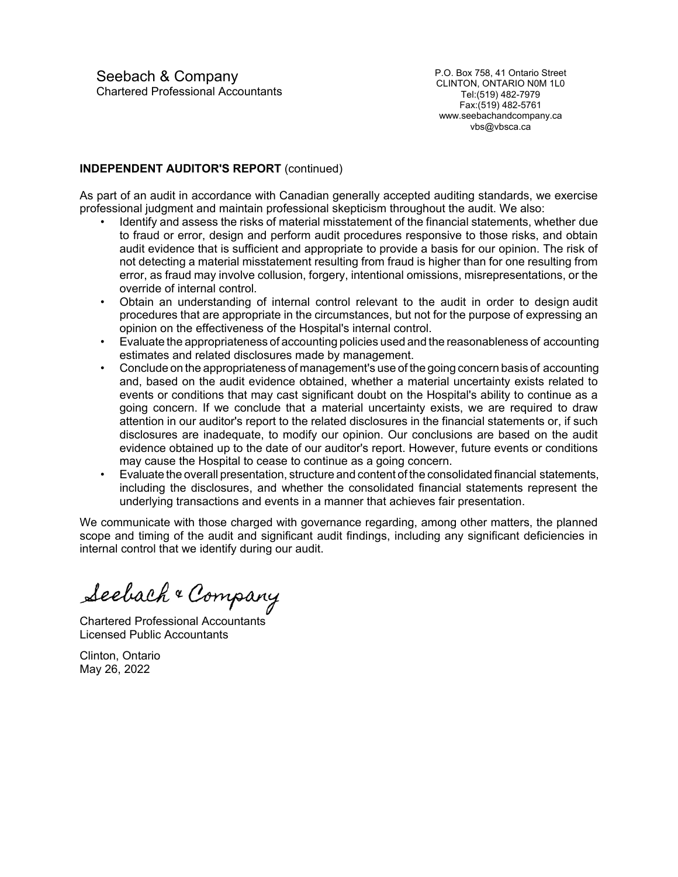P.O. Box 758, 41 Ontario Street CLINTON, ONTARIO N0M 1L0 Tel:(519) 482-7979 Fax:(519) 482-5761 www.seebachandcompany.ca vbs@vbsca.ca

#### **INDEPENDENT AUDITOR'S REPORT** (continued)

As part of an audit in accordance with Canadian generally accepted auditing standards, we exercise professional judgment and maintain professional skepticism throughout the audit. We also:

- Identify and assess the risks of material misstatement of the financial statements, whether due to fraud or error, design and perform audit procedures responsive to those risks, and obtain audit evidence that is sufficient and appropriate to provide a basis for our opinion. The risk of not detecting a material misstatement resulting from fraud is higher than for one resulting from error, as fraud may involve collusion, forgery, intentional omissions, misrepresentations, or the override of internal control.
- Obtain an understanding of internal control relevant to the audit in order to design audit procedures that are appropriate in the circumstances, but not for the purpose of expressing an opinion on the effectiveness of the Hospital's internal control.
- Evaluate the appropriateness of accounting policies used and the reasonableness of accounting estimates and related disclosures made by management.
- Conclude on the appropriateness of management's use of the going concern basis of accounting and, based on the audit evidence obtained, whether a material uncertainty exists related to events or conditions that may cast significant doubt on the Hospital's ability to continue as a going concern. If we conclude that a material uncertainty exists, we are required to draw attention in our auditor's report to the related disclosures in the financial statements or, if such disclosures are inadequate, to modify our opinion. Our conclusions are based on the audit evidence obtained up to the date of our auditor's report. However, future events or conditions may cause the Hospital to cease to continue as a going concern.
- Evaluate the overall presentation, structure and content of the consolidated financial statements, including the disclosures, and whether the consolidated financial statements represent the underlying transactions and events in a manner that achieves fair presentation.

We communicate with those charged with governance regarding, among other matters, the planned scope and timing of the audit and significant audit findings, including any significant deficiencies in internal control that we identify during our audit.

Seebach & Company

Chartered Professional Accountants Licensed Public Accountants

Clinton, Ontario May 26, 2022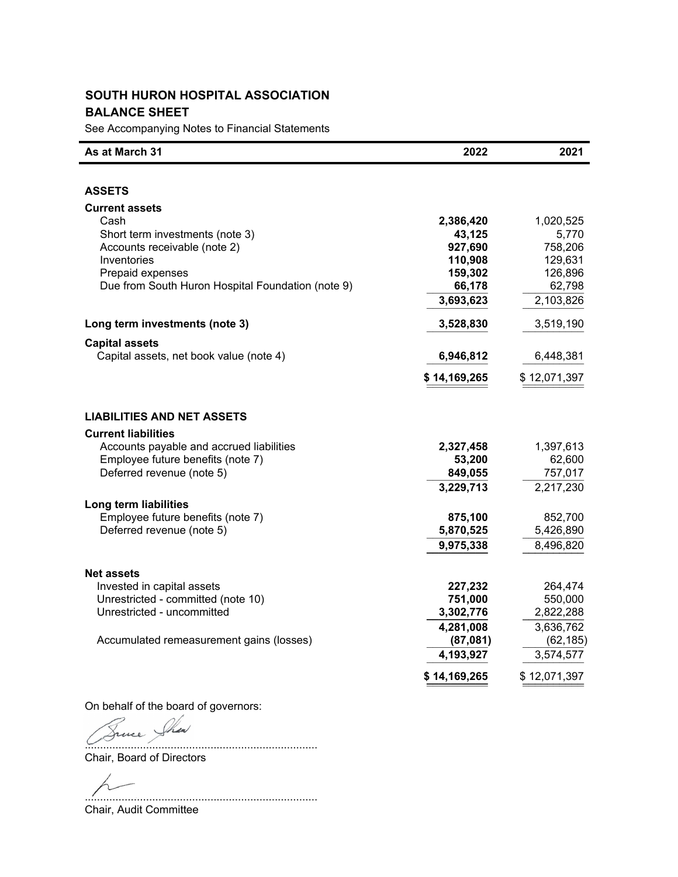# **SOUTH HURON HOSPITAL ASSOCIATION BALANCE SHEET**

See Accompanying Notes to Financial Statements

| As at March 31                                                                                                                                                                           | 2022                                                                                  | 2021                                                                                   |
|------------------------------------------------------------------------------------------------------------------------------------------------------------------------------------------|---------------------------------------------------------------------------------------|----------------------------------------------------------------------------------------|
|                                                                                                                                                                                          |                                                                                       |                                                                                        |
| <b>ASSETS</b>                                                                                                                                                                            |                                                                                       |                                                                                        |
| <b>Current assets</b><br>Cash<br>Short term investments (note 3)<br>Accounts receivable (note 2)<br>Inventories<br>Prepaid expenses<br>Due from South Huron Hospital Foundation (note 9) | 2,386,420<br>43,125<br>927,690<br>110,908<br>159,302<br>66,178<br>3,693,623           | 1,020,525<br>5,770<br>758,206<br>129,631<br>126,896<br>62,798<br>2,103,826             |
| Long term investments (note 3)                                                                                                                                                           | 3,528,830                                                                             | 3,519,190                                                                              |
|                                                                                                                                                                                          |                                                                                       |                                                                                        |
| <b>Capital assets</b><br>Capital assets, net book value (note 4)                                                                                                                         | 6,946,812<br>\$14,169,265                                                             | 6,448,381<br>\$12,071,397                                                              |
| <b>LIABILITIES AND NET ASSETS</b>                                                                                                                                                        |                                                                                       |                                                                                        |
| <b>Current liabilities</b><br>Accounts payable and accrued liabilities<br>Employee future benefits (note 7)<br>Deferred revenue (note 5)                                                 | 2,327,458<br>53,200<br>849,055<br>3,229,713                                           | 1,397,613<br>62,600<br>757,017<br>2,217,230                                            |
| Long term liabilities<br>Employee future benefits (note 7)<br>Deferred revenue (note 5)                                                                                                  | 875,100<br>5,870,525<br>9,975,338                                                     | 852,700<br>5,426,890<br>8,496,820                                                      |
| <b>Net assets</b><br>Invested in capital assets<br>Unrestricted - committed (note 10)<br>Unrestricted - uncommitted<br>Accumulated remeasurement gains (losses)                          | 227,232<br>751,000<br>3,302,776<br>4,281,008<br>(87,081)<br>4,193,927<br>\$14,169,265 | 264,474<br>550,000<br>2,822,288<br>3,636,762<br>(62, 185)<br>3,574,577<br>\$12,071,397 |

On behalf of the board of governors:

france ) ............................................................................

Chair, Board of Directors

............................................................................

Chair, Audit Committee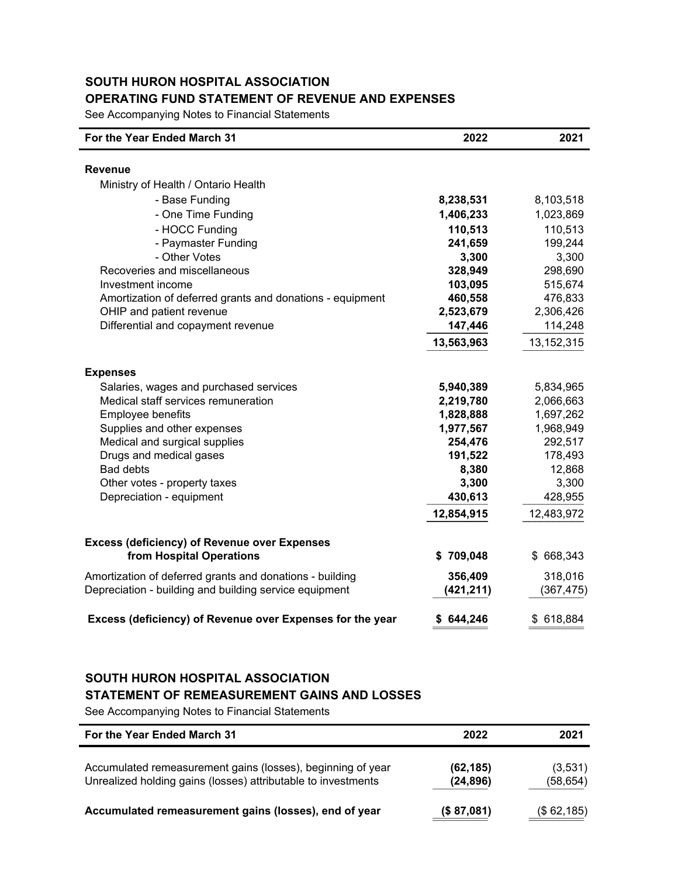### **SOUTH HURON HOSPITAL ASSOCIATION OPERATING FUND STATEMENT OF REVENUE AND EXPENSES**

See Accompanying Notes to Financial Statements

| For the Year Ended March 31                                                     | 2022       | 2021         |
|---------------------------------------------------------------------------------|------------|--------------|
| <b>Revenue</b>                                                                  |            |              |
| Ministry of Health / Ontario Health                                             |            |              |
| - Base Funding                                                                  | 8,238,531  | 8,103,518    |
|                                                                                 |            |              |
| - One Time Funding                                                              | 1,406,233  | 1,023,869    |
| - HOCC Funding                                                                  | 110,513    | 110,513      |
| - Paymaster Funding                                                             | 241,659    | 199,244      |
| - Other Votes                                                                   | 3,300      | 3,300        |
| Recoveries and miscellaneous                                                    | 328,949    | 298,690      |
| Investment income                                                               | 103,095    | 515,674      |
| Amortization of deferred grants and donations - equipment                       | 460,558    | 476,833      |
| OHIP and patient revenue                                                        | 2,523,679  | 2,306,426    |
| Differential and copayment revenue                                              | 147,446    | 114,248      |
|                                                                                 | 13,563,963 | 13, 152, 315 |
| <b>Expenses</b>                                                                 |            |              |
| Salaries, wages and purchased services                                          | 5,940,389  | 5,834,965    |
| Medical staff services remuneration                                             | 2,219,780  | 2,066,663    |
| Employee benefits                                                               | 1,828,888  | 1,697,262    |
| Supplies and other expenses                                                     | 1,977,567  | 1,968,949    |
| Medical and surgical supplies                                                   | 254,476    | 292,517      |
| Drugs and medical gases                                                         | 191,522    | 178,493      |
| <b>Bad debts</b>                                                                | 8,380      | 12,868       |
| Other votes - property taxes                                                    | 3,300      | 3,300        |
| Depreciation - equipment                                                        | 430,613    | 428,955      |
|                                                                                 | 12,854,915 | 12,483,972   |
|                                                                                 |            |              |
| <b>Excess (deficiency) of Revenue over Expenses</b><br>from Hospital Operations | \$709,048  | \$668,343    |
| Amortization of deferred grants and donations - building                        | 356,409    | 318,016      |
| Depreciation - building and building service equipment                          | (421, 211) | (367, 475)   |
| Excess (deficiency) of Revenue over Expenses for the year                       | \$644,246  | \$618,884    |

# **SOUTH HURON HOSPITAL ASSOCIATION STATEMENT OF REMEASUREMENT GAINS AND LOSSES**

See Accompanying Notes to Financial Statements

| For the Year Ended March 31                                                                                                  | 2022                   | 2021                 |
|------------------------------------------------------------------------------------------------------------------------------|------------------------|----------------------|
| Accumulated remeasurement gains (losses), beginning of year<br>Unrealized holding gains (losses) attributable to investments | (62, 185)<br>(24, 896) | (3,531)<br>(58, 654) |
| Accumulated remeasurement gains (losses), end of year                                                                        | (\$87,081)             | (\$62,185)           |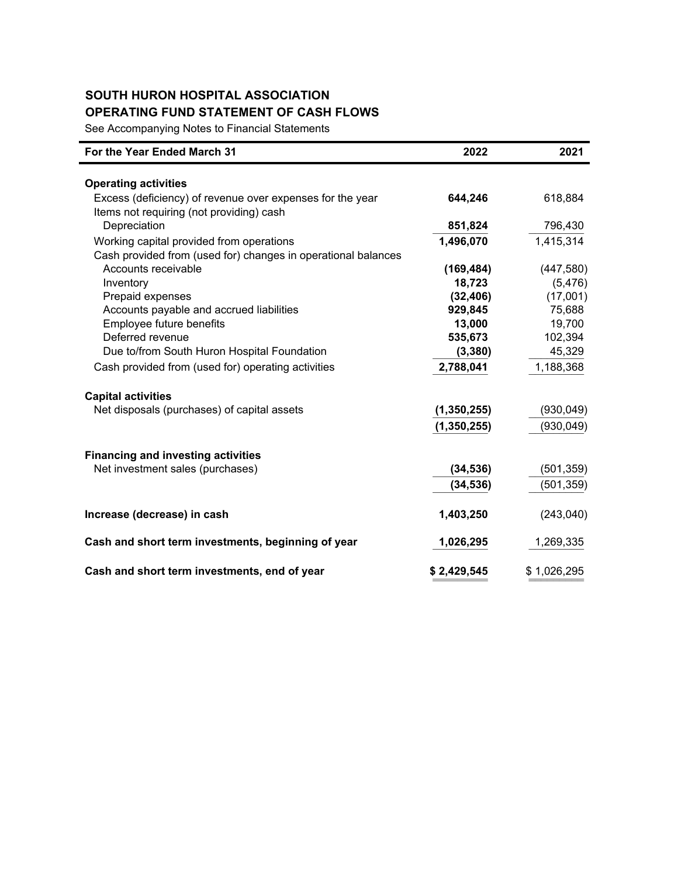# **SOUTH HURON HOSPITAL ASSOCIATION OPERATING FUND STATEMENT OF CASH FLOWS**

See Accompanying Notes to Financial Statements

| For the Year Ended March 31                                                                           | 2022          | 2021        |
|-------------------------------------------------------------------------------------------------------|---------------|-------------|
|                                                                                                       |               |             |
| <b>Operating activities</b>                                                                           |               |             |
| Excess (deficiency) of revenue over expenses for the year<br>Items not requiring (not providing) cash | 644,246       | 618,884     |
| Depreciation                                                                                          | 851,824       | 796,430     |
| Working capital provided from operations                                                              | 1,496,070     | 1,415,314   |
| Cash provided from (used for) changes in operational balances                                         |               |             |
| Accounts receivable                                                                                   | (169, 484)    | (447, 580)  |
| Inventory                                                                                             | 18,723        | (5, 476)    |
| Prepaid expenses                                                                                      | (32, 406)     | (17,001)    |
| Accounts payable and accrued liabilities                                                              | 929,845       | 75,688      |
| Employee future benefits                                                                              | 13,000        | 19,700      |
| Deferred revenue                                                                                      | 535,673       | 102,394     |
| Due to/from South Huron Hospital Foundation                                                           | (3, 380)      | 45,329      |
| Cash provided from (used for) operating activities                                                    | 2,788,041     | 1,188,368   |
| <b>Capital activities</b>                                                                             |               |             |
| Net disposals (purchases) of capital assets                                                           | (1, 350, 255) | (930, 049)  |
|                                                                                                       | (1, 350, 255) | (930, 049)  |
| <b>Financing and investing activities</b>                                                             |               |             |
| Net investment sales (purchases)                                                                      | (34, 536)     | (501, 359)  |
|                                                                                                       | (34, 536)     | (501, 359)  |
|                                                                                                       |               |             |
| Increase (decrease) in cash                                                                           | 1,403,250     | (243, 040)  |
| Cash and short term investments, beginning of year                                                    | 1,026,295     | 1,269,335   |
| Cash and short term investments, end of year                                                          | \$2,429,545   | \$1,026,295 |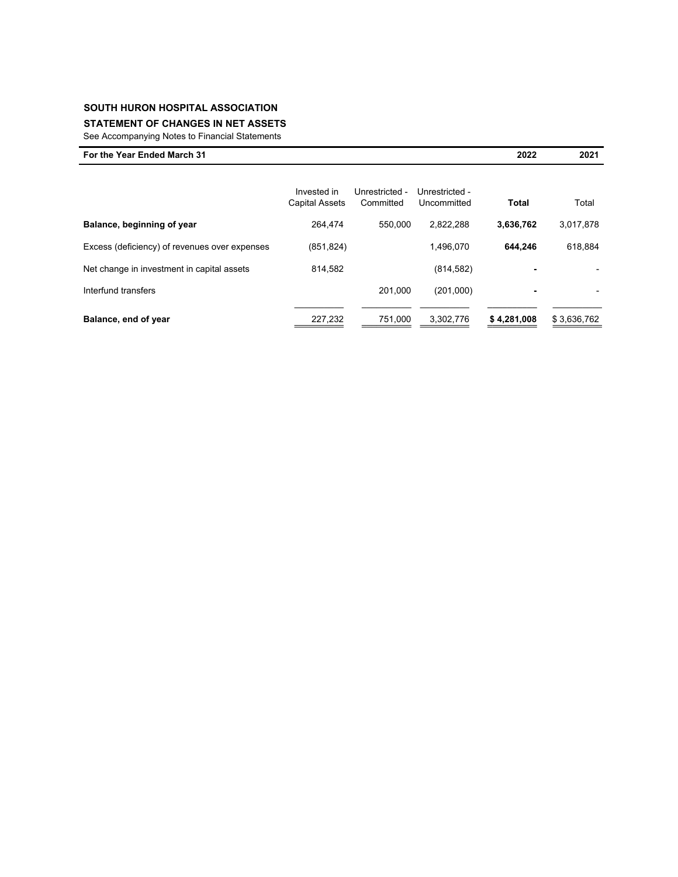#### **SOUTH HURON HOSPITAL ASSOCIATION**

#### **STATEMENT OF CHANGES IN NET ASSETS**

See Accompanying Notes to Financial Statements

| For the Year Ended March 31                   |                                      |                             |                               | 2022        | 2021        |
|-----------------------------------------------|--------------------------------------|-----------------------------|-------------------------------|-------------|-------------|
|                                               | Invested in<br><b>Capital Assets</b> | Unrestricted -<br>Committed | Unrestricted -<br>Uncommitted | Total       | Total       |
| Balance, beginning of year                    | 264.474                              | 550.000                     | 2,822,288                     | 3,636,762   | 3,017,878   |
| Excess (deficiency) of revenues over expenses | (851, 824)                           |                             | 1,496,070                     | 644.246     | 618,884     |
| Net change in investment in capital assets    | 814.582                              |                             | (814, 582)                    |             |             |
| Interfund transfers                           |                                      | 201.000                     | (201,000)                     | ۰           |             |
| Balance, end of year                          | 227,232                              | 751,000                     | 3,302,776                     | \$4,281,008 | \$3,636,762 |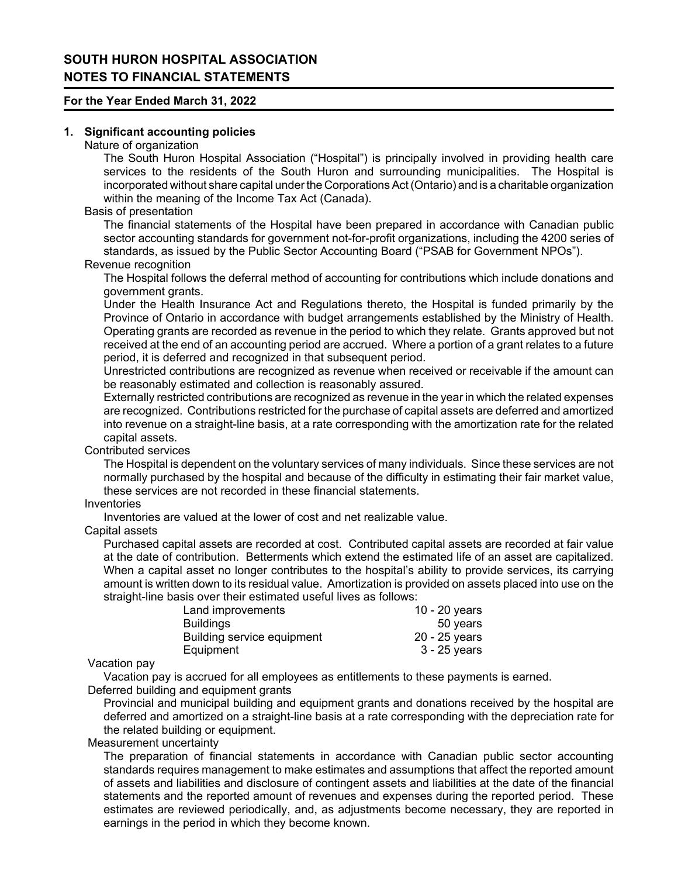#### **For the Year Ended March 31, 2022**

#### **1. Significant accounting policies**

Nature of organization

The South Huron Hospital Association ("Hospital") is principally involved in providing health care services to the residents of the South Huron and surrounding municipalities. The Hospital is incorporated without share capital under the Corporations Act (Ontario) and is a charitable organization within the meaning of the Income Tax Act (Canada).

#### Basis of presentation

The financial statements of the Hospital have been prepared in accordance with Canadian public sector accounting standards for government not-for-profit organizations, including the 4200 series of standards, as issued by the Public Sector Accounting Board ("PSAB for Government NPOs").

#### Revenue recognition

The Hospital follows the deferral method of accounting for contributions which include donations and government grants.

Under the Health Insurance Act and Regulations thereto, the Hospital is funded primarily by the Province of Ontario in accordance with budget arrangements established by the Ministry of Health. Operating grants are recorded as revenue in the period to which they relate. Grants approved but not received at the end of an accounting period are accrued. Where a portion of a grant relates to a future period, it is deferred and recognized in that subsequent period.

Unrestricted contributions are recognized as revenue when received or receivable if the amount can be reasonably estimated and collection is reasonably assured.

Externally restricted contributions are recognized as revenue in the year in which the related expenses are recognized. Contributions restricted for the purchase of capital assets are deferred and amortized into revenue on a straight-line basis, at a rate corresponding with the amortization rate for the related capital assets.

#### Contributed services

The Hospital is dependent on the voluntary services of many individuals. Since these services are not normally purchased by the hospital and because of the difficulty in estimating their fair market value, these services are not recorded in these financial statements.

#### Inventories

Inventories are valued at the lower of cost and net realizable value.

#### Capital assets

Purchased capital assets are recorded at cost. Contributed capital assets are recorded at fair value at the date of contribution. Betterments which extend the estimated life of an asset are capitalized. When a capital asset no longer contributes to the hospital's ability to provide services, its carrying amount is written down to its residual value. Amortization is provided on assets placed into use on the straight-line basis over their estimated useful lives as follows:

| Land improvements          | 10 - 20 years  |
|----------------------------|----------------|
| <b>Buildings</b>           | 50 years       |
| Building service equipment | 20 - 25 years  |
| Equipment                  | $3 - 25$ years |

#### Vacation pay

Vacation pay is accrued for all employees as entitlements to these payments is earned. Deferred building and equipment grants

Provincial and municipal building and equipment grants and donations received by the hospital are deferred and amortized on a straight-line basis at a rate corresponding with the depreciation rate for the related building or equipment.

#### Measurement uncertainty

The preparation of financial statements in accordance with Canadian public sector accounting standards requires management to make estimates and assumptions that affect the reported amount of assets and liabilities and disclosure of contingent assets and liabilities at the date of the financial statements and the reported amount of revenues and expenses during the reported period. These estimates are reviewed periodically, and, as adjustments become necessary, they are reported in earnings in the period in which they become known.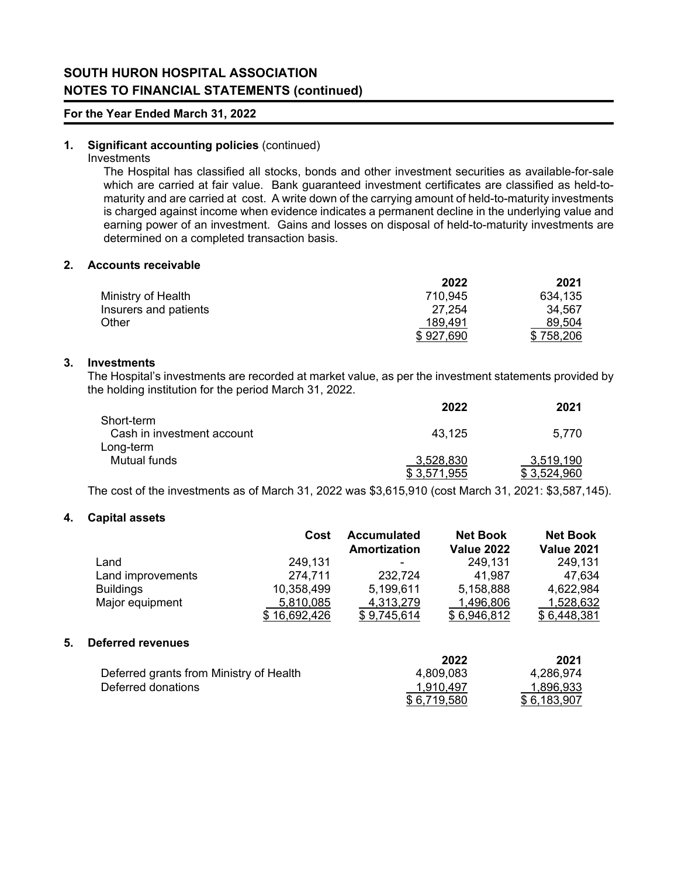#### **For the Year Ended March 31, 2022**

#### **1. Significant accounting policies** (continued)

#### Investments

The Hospital has classified all stocks, bonds and other investment securities as available-for-sale which are carried at fair value. Bank guaranteed investment certificates are classified as held-tomaturity and are carried at cost. A write down of the carrying amount of held-to-maturity investments is charged against income when evidence indicates a permanent decline in the underlying value and earning power of an investment. Gains and losses on disposal of held-to-maturity investments are determined on a completed transaction basis.

#### **2. Accounts receivable**

|                       | 2022      | 2021      |
|-----------------------|-----------|-----------|
| Ministry of Health    | 710.945   | 634,135   |
| Insurers and patients | 27.254    | 34,567    |
| Other                 | 189.491   | 89,504    |
|                       | \$927,690 | \$758,206 |

#### **3. Investments**

The Hospital's investments are recorded at market value, as per the investment statements provided by the holding institution for the period March 31, 2022.

|                            | 2022        | 2021        |
|----------------------------|-------------|-------------|
| Short-term                 |             |             |
| Cash in investment account | 43.125      | 5.770       |
| Long-term                  |             |             |
| Mutual funds               | 3,528,830   | 3,519,190   |
|                            | \$3,571,955 | \$3,524,960 |

The cost of the investments as of March 31, 2022 was \$3,615,910 (cost March 31, 2021: \$3,587,145).

#### **4. Capital assets**

|    |                          | Cost         | <b>Accumulated</b> | <b>Net Book</b>   | <b>Net Book</b>   |
|----|--------------------------|--------------|--------------------|-------------------|-------------------|
|    |                          |              | Amortization       | <b>Value 2022</b> | <b>Value 2021</b> |
|    | Land                     | 249,131      |                    | 249,131           | 249,131           |
|    | Land improvements        | 274,711      | 232,724            | 41,987            | 47,634            |
|    | <b>Buildings</b>         | 10,358,499   | 5,199,611          | 5,158,888         | 4,622,984         |
|    | Major equipment          | 5,810,085    | 4,313,279          | 1,496,806         | 1,528,632         |
|    |                          | \$16,692,426 | \$9,745,614        | \$6,946,812       | \$6,448,381       |
| 5. | <b>Deferred revenues</b> |              |                    |                   |                   |
|    |                          |              |                    | 2022              | 2021              |

|                                         | ZUZZ        | ZUZT        |
|-----------------------------------------|-------------|-------------|
| Deferred grants from Ministry of Health | 4.809.083   | 4.286.974   |
| Deferred donations                      | 1.910.497   | 1.896.933   |
|                                         | \$6,719,580 | \$6,183,907 |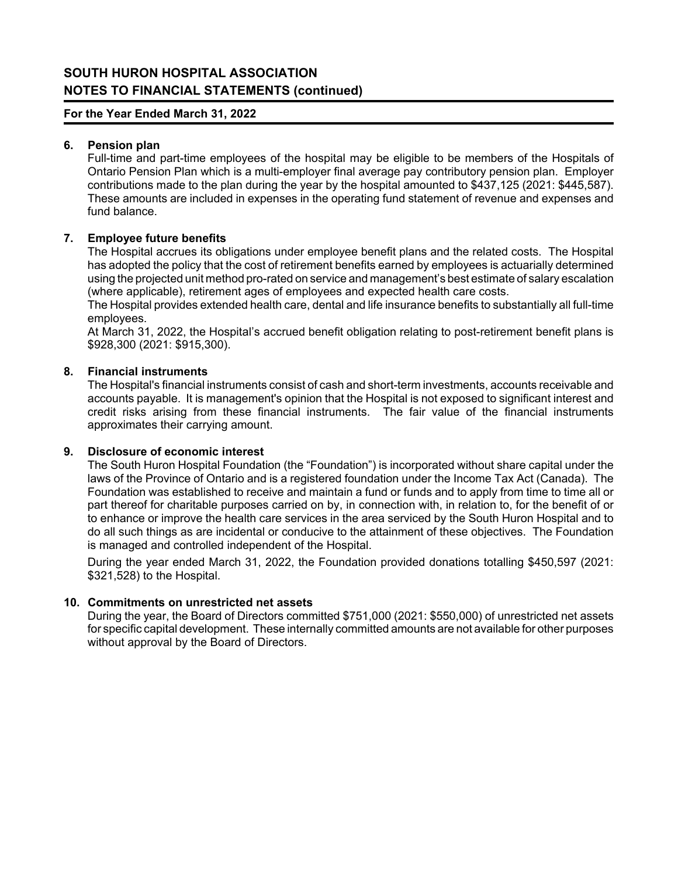#### **For the Year Ended March 31, 2022**

#### **6. Pension plan**

Full-time and part-time employees of the hospital may be eligible to be members of the Hospitals of Ontario Pension Plan which is a multi-employer final average pay contributory pension plan. Employer contributions made to the plan during the year by the hospital amounted to \$437,125 (2021: \$445,587). These amounts are included in expenses in the operating fund statement of revenue and expenses and fund balance.

#### **7. Employee future benefits**

The Hospital accrues its obligations under employee benefit plans and the related costs. The Hospital has adopted the policy that the cost of retirement benefits earned by employees is actuarially determined using the projected unit method pro-rated on service and management's best estimate of salary escalation (where applicable), retirement ages of employees and expected health care costs.

The Hospital provides extended health care, dental and life insurance benefits to substantially all full-time employees.

At March 31, 2022, the Hospital's accrued benefit obligation relating to post-retirement benefit plans is \$928,300 (2021: \$915,300).

#### **8. Financial instruments**

The Hospital's financial instruments consist of cash and short-term investments, accounts receivable and accounts payable. It is management's opinion that the Hospital is not exposed to significant interest and credit risks arising from these financial instruments. The fair value of the financial instruments approximates their carrying amount.

#### **9. Disclosure of economic interest**

The South Huron Hospital Foundation (the "Foundation") is incorporated without share capital under the laws of the Province of Ontario and is a registered foundation under the Income Tax Act (Canada). The Foundation was established to receive and maintain a fund or funds and to apply from time to time all or part thereof for charitable purposes carried on by, in connection with, in relation to, for the benefit of or to enhance or improve the health care services in the area serviced by the South Huron Hospital and to do all such things as are incidental or conducive to the attainment of these objectives. The Foundation is managed and controlled independent of the Hospital.

During the year ended March 31, 2022, the Foundation provided donations totalling \$450,597 (2021: \$321,528) to the Hospital.

#### **10. Commitments on unrestricted net assets**

During the year, the Board of Directors committed \$751,000 (2021: \$550,000) of unrestricted net assets for specific capital development. These internally committed amounts are not available for other purposes without approval by the Board of Directors.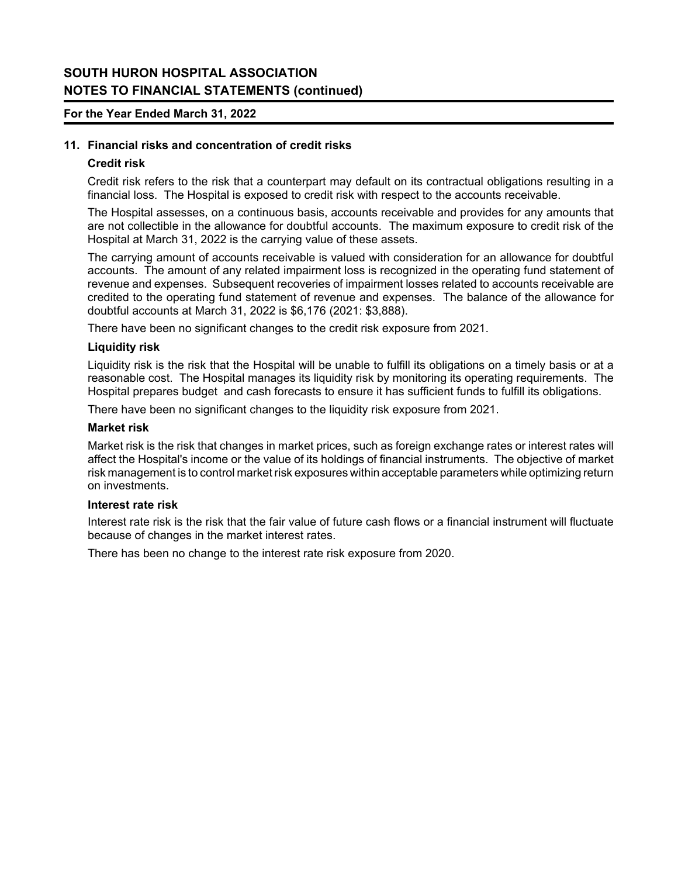#### **For the Year Ended March 31, 2022**

#### **11. Financial risks and concentration of credit risks**

#### **Credit risk**

Credit risk refers to the risk that a counterpart may default on its contractual obligations resulting in a financial loss. The Hospital is exposed to credit risk with respect to the accounts receivable.

The Hospital assesses, on a continuous basis, accounts receivable and provides for any amounts that are not collectible in the allowance for doubtful accounts. The maximum exposure to credit risk of the Hospital at March 31, 2022 is the carrying value of these assets.

The carrying amount of accounts receivable is valued with consideration for an allowance for doubtful accounts. The amount of any related impairment loss is recognized in the operating fund statement of revenue and expenses. Subsequent recoveries of impairment losses related to accounts receivable are credited to the operating fund statement of revenue and expenses. The balance of the allowance for doubtful accounts at March 31, 2022 is \$6,176 (2021: \$3,888).

There have been no significant changes to the credit risk exposure from 2021.

#### **Liquidity risk**

Liquidity risk is the risk that the Hospital will be unable to fulfill its obligations on a timely basis or at a reasonable cost. The Hospital manages its liquidity risk by monitoring its operating requirements. The Hospital prepares budget and cash forecasts to ensure it has sufficient funds to fulfill its obligations.

There have been no significant changes to the liquidity risk exposure from 2021.

#### **Market risk**

Market risk is the risk that changes in market prices, such as foreign exchange rates or interest rates will affect the Hospital's income or the value of its holdings of financial instruments. The objective of market risk management is to control market risk exposures within acceptable parameters while optimizing return on investments.

#### **Interest rate risk**

Interest rate risk is the risk that the fair value of future cash flows or a financial instrument will fluctuate because of changes in the market interest rates.

There has been no change to the interest rate risk exposure from 2020.